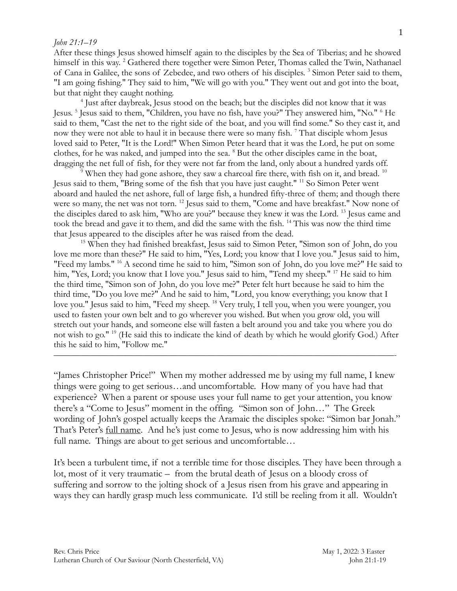## *John 21:1–19*

After these things Jesus showed himself again to the disciples by the Sea of Tiberias; and he showed himself in this way. <sup>2</sup> Gathered there together were Simon Peter, Thomas called the Twin, Nathanael of Cana in Galilee, the sons of Zebedee, and two others of his disciples.<sup>3</sup> Simon Peter said to them, "I am going fishing." They said to him, "We will go with you." They went out and got into the boat, but that night they caught nothing.

<sup>4</sup> Just after daybreak, Jesus stood on the beach; but the disciples did not know that it was Jesus. <sup>5</sup> Jesus said to them, "Children, you have no fish, have you?" They answered him, "No." <sup>6</sup> He said to them, "Cast the net to the right side of the boat, and you will find some." So they cast it, and now they were not able to haul it in because there were so many fish. <sup>7</sup> That disciple whom Jesus loved said to Peter, "It is the Lord!" When Simon Peter heard that it was the Lord, he put on some clothes, for he was naked, and jumped into the sea. <sup>8</sup> But the other disciples came in the boat, dragging the net full of fish, for they were not far from the land, only about a hundred yards off.

<sup>9</sup> When they had gone ashore, they saw a charcoal fire there, with fish on it, and bread. <sup>10</sup> Jesus said to them, "Bring some of the fish that you have just caught." <sup>11</sup> So Simon Peter went aboard and hauled the net ashore, full of large fish, a hundred fifty-three of them; and though there were so many, the net was not torn. <sup>12</sup> Jesus said to them, "Come and have breakfast." Now none of the disciples dared to ask him, "Who are you?" because they knew it was the Lord. <sup>13</sup> Jesus came and took the bread and gave it to them, and did the same with the fish. <sup>14</sup> This was now the third time that Jesus appeared to the disciples after he was raised from the dead.

<sup>15</sup> When they had finished breakfast, Jesus said to Simon Peter, "Simon son of John, do you love me more than these?" He said to him, "Yes, Lord; you know that I love you." Jesus said to him, "Feed my lambs." <sup>16</sup> A second time he said to him, "Simon son of John, do you love me?" He said to him, "Yes, Lord; you know that I love you." Jesus said to him, "Tend my sheep." <sup>17</sup> He said to him the third time, "Simon son of John, do you love me?" Peter felt hurt because he said to him the third time, "Do you love me?" And he said to him, "Lord, you know everything; you know that I love you." Jesus said to him, "Feed my sheep. <sup>18</sup> Very truly, I tell you, when you were younger, you used to fasten your own belt and to go wherever you wished. But when you grow old, you will stretch out your hands, and someone else will fasten a belt around you and take you where you do not wish to go." <sup>19</sup> (He said this to indicate the kind of death by which he would glorify God.) After this he said to him, "Follow me."

"James Christopher Price!" When my mother addressed me by using my full name, I knew things were going to get serious…and uncomfortable. How many of you have had that experience? When a parent or spouse uses your full name to get your attention, you know there's a "Come to Jesus" moment in the offing. "Simon son of John…" The Greek wording of John's gospel actually keeps the Aramaic the disciples spoke: "Simon bar Jonah." That's Peter's full name. And he's just come to Jesus, who is now addressing him with his full name. Things are about to get serious and uncomfortable…

——————————————————————————————————————-

It's been a turbulent time, if not a terrible time for those disciples. They have been through a lot, most of it very traumatic – from the brutal death of Jesus on a bloody cross of suffering and sorrow to the jolting shock of a Jesus risen from his grave and appearing in ways they can hardly grasp much less communicate. I'd still be reeling from it all. Wouldn't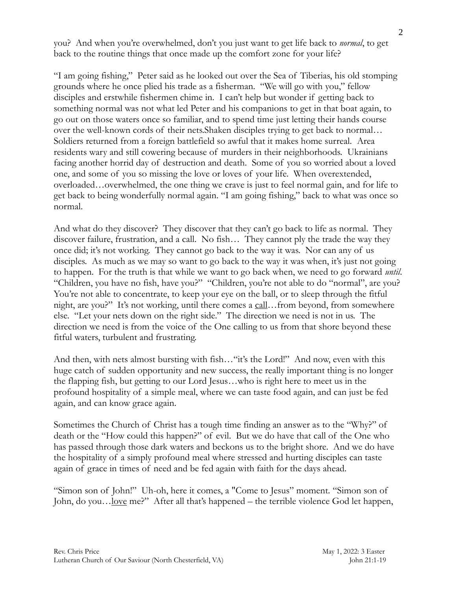you? And when you're overwhelmed, don't you just want to get life back to *normal*, to get back to the routine things that once made up the comfort zone for your life?

"I am going fishing," Peter said as he looked out over the Sea of Tiberias, his old stomping grounds where he once plied his trade as a fisherman. "We will go with you," fellow disciples and erstwhile fishermen chime in. I can't help but wonder if getting back to something normal was not what led Peter and his companions to get in that boat again, to go out on those waters once so familiar, and to spend time just letting their hands course over the well-known cords of their nets.Shaken disciples trying to get back to normal… Soldiers returned from a foreign battlefield so awful that it makes home surreal. Area residents wary and still cowering because of murders in their neighborhoods. Ukrainians facing another horrid day of destruction and death. Some of you so worried about a loved one, and some of you so missing the love or loves of your life. When overextended, overloaded…overwhelmed, the one thing we crave is just to feel normal gain, and for life to get back to being wonderfully normal again. "I am going fishing," back to what was once so normal.

And what do they discover? They discover that they can't go back to life as normal. They discover failure, frustration, and a call. No fish… They cannot ply the trade the way they once did; it's not working. They cannot go back to the way it was. Nor can any of us disciples. As much as we may so want to go back to the way it was when, it's just not going to happen. For the truth is that while we want to go back when, we need to go forward *until*. "Children, you have no fish, have you?" "Children, you're not able to do "normal", are you? You're not able to concentrate, to keep your eye on the ball, or to sleep through the fitful night, are you?" It's not working, until there comes a call...from beyond, from somewhere else. "Let your nets down on the right side." The direction we need is not in us. The direction we need is from the voice of the One calling to us from that shore beyond these fitful waters, turbulent and frustrating.

And then, with nets almost bursting with fish…"it's the Lord!" And now, even with this huge catch of sudden opportunity and new success, the really important thing is no longer the flapping fish, but getting to our Lord Jesus…who is right here to meet us in the profound hospitality of a simple meal, where we can taste food again, and can just be fed again, and can know grace again.

Sometimes the Church of Christ has a tough time finding an answer as to the "Why?" of death or the "How could this happen?" of evil. But we do have that call of the One who has passed through those dark waters and beckons us to the bright shore. And we do have the hospitality of a simply profound meal where stressed and hurting disciples can taste again of grace in times of need and be fed again with faith for the days ahead.

"Simon son of John!" Uh-oh, here it comes, a "Come to Jesus" moment. "Simon son of John, do you…love me?" After all that's happened – the terrible violence God let happen,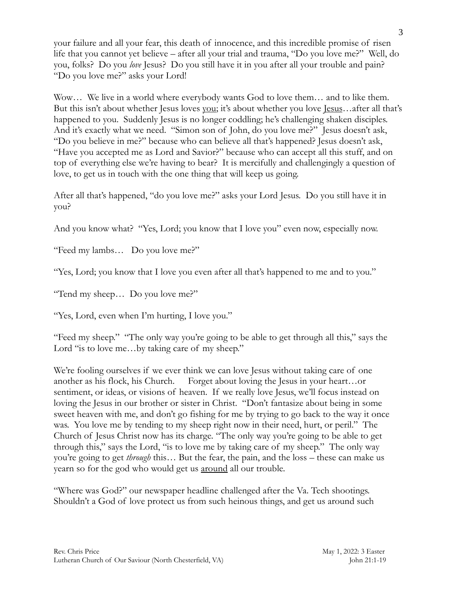your failure and all your fear, this death of innocence, and this incredible promise of risen life that you cannot yet believe – after all your trial and trauma, "Do you love me?" Well, do you, folks? Do you *love* Jesus? Do you still have it in you after all your trouble and pain? "Do you love me?" asks your Lord!

Wow... We live in a world where everybody wants God to love them... and to like them. But this isn't about whether Jesus loves you; it's about whether you love <u>Jesus</u>...after all that's happened to you. Suddenly Jesus is no longer coddling; he's challenging shaken disciples. And it's exactly what we need. "Simon son of John, do you love me?" Jesus doesn't ask, "Do you believe in me?" because who can believe all that's happened? Jesus doesn't ask, "Have you accepted me as Lord and Savior?" because who can accept all this stuff, and on top of everything else we're having to bear? It is mercifully and challengingly a question of love, to get us in touch with the one thing that will keep us going.

After all that's happened, "do you love me?" asks your Lord Jesus. Do you still have it in you?

And you know what? "Yes, Lord; you know that I love you" even now, especially now.

"Feed my lambs… Do you love me?"

"Yes, Lord; you know that I love you even after all that's happened to me and to you."

"Tend my sheep… Do you love me?"

"Yes, Lord, even when I'm hurting, I love you."

"Feed my sheep." "The only way you're going to be able to get through all this," says the Lord "is to love me...by taking care of my sheep."

We're fooling ourselves if we ever think we can love Jesus without taking care of one another as his flock, his Church. Forget about loving the Jesus in your heart…or sentiment, or ideas, or visions of heaven. If we really love Jesus, we'll focus instead on loving the Jesus in our brother or sister in Christ. "Don't fantasize about being in some sweet heaven with me, and don't go fishing for me by trying to go back to the way it once was. You love me by tending to my sheep right now in their need, hurt, or peril." The Church of Jesus Christ now has its charge. "The only way you're going to be able to get through this," says the Lord, "is to love me by taking care of my sheep." The only way you're going to get *through* this… But the fear, the pain, and the loss – these can make us yearn so for the god who would get us around all our trouble.

"Where was God?" our newspaper headline challenged after the Va. Tech shootings. Shouldn't a God of love protect us from such heinous things, and get us around such